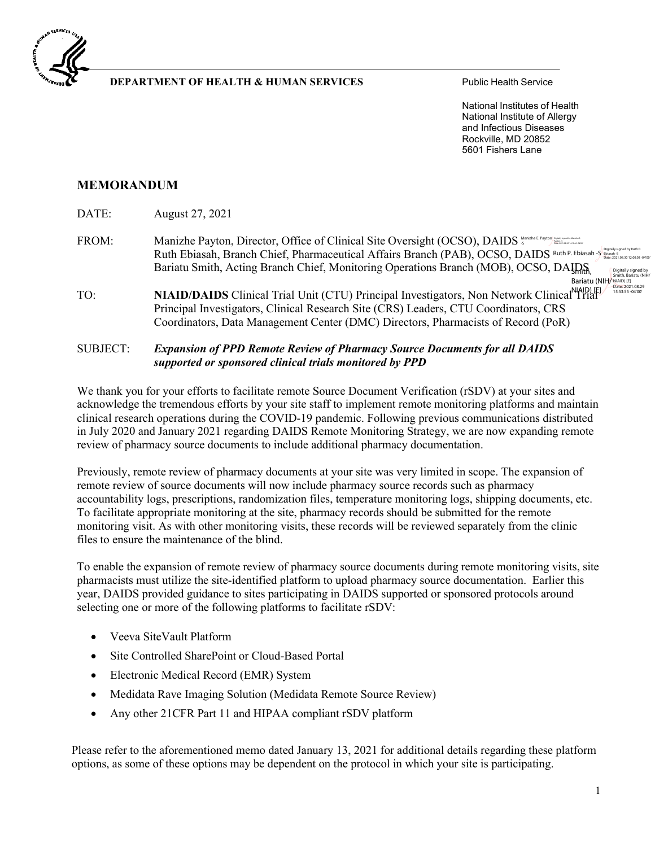

### **DEPARTMENT OF HEALTH & HUMAN SERVICES** Public Health Service

National Institutes of Health National Institute of Allergy and Infectious Diseases Rockville, MD 20852 5601 Fishers Lane

## **MEMORANDUM**

DATE: August 27, 2021

- FROM: Manizhe Payton, Director, Office of Clinical Site Oversight (OCSO), DAIDS Ruth Ebiasah, Branch Chief, Pharmaceutical Affairs Branch (PAB), OCSO, DAIDS Ruth P. Ebiasah S Bigned by Ruth P. Bariatu Smith, Acting Branch Chief, Monitoring Operations Branch (MOB), OCSO, DAIDS, STITLETT, Smith, Bariatu (NIH/ Digitally signed by Date: 2021.08.29 15:53:55 -04'00' Date: 2021.08.30 12:00:03 -04'00'
- TO: **NIAID/DAIDS** Clinical Trial Unit (CTU) Principal Investigators, Non Network Clinical<sup>N</sup>ITial Principal Investigators, Clinical Research Site (CRS) Leaders, CTU Coordinators, CRS Coordinators, Data Management Center (DMC) Directors, Pharmacists of Record (PoR)

#### SUBJECT: *Expansion of PPD Remote Review of Pharmacy Source Documents for all DAIDS supported or sponsored clinical trials monitored by PPD*

We thank you for your efforts to facilitate remote Source Document Verification (rSDV) at your sites and acknowledge the tremendous efforts by your site staff to implement remote monitoring platforms and maintain clinical research operations during the COVID-19 pandemic. Following previous communications distributed in July 2020 and January 2021 regarding DAIDS Remote Monitoring Strategy, we are now expanding remote review of pharmacy source documents to include additional pharmacy documentation.

Previously, remote review of pharmacy documents at your site was very limited in scope. The expansion of remote review of source documents will now include pharmacy source records such as pharmacy accountability logs, prescriptions, randomization files, temperature monitoring logs, shipping documents, etc. To facilitate appropriate monitoring at the site, pharmacy records should be submitted for the remote monitoring visit. As with other monitoring visits, these records will be reviewed separately from the clinic files to ensure the maintenance of the blind.

To enable the expansion of remote review of pharmacy source documents during remote monitoring visits, site pharmacists must utilize the site-identified platform to upload pharmacy source documentation. Earlier this year, DAIDS provided guidance to sites participating in DAIDS supported or sponsored protocols around selecting one or more of the following platforms to facilitate rSDV:

- Veeva SiteVault Platform
- Site Controlled SharePoint or Cloud-Based Portal
- Electronic Medical Record (EMR) System
- Medidata Rave Imaging Solution (Medidata Remote Source Review)
- Any other 21 CFR Part 11 and HIPAA compliant rSDV platform

Please refer to the aforementioned memo dated January 13, 2021 for additional details regarding these platform options, as some of these options may be dependent on the protocol in which your site is participating.